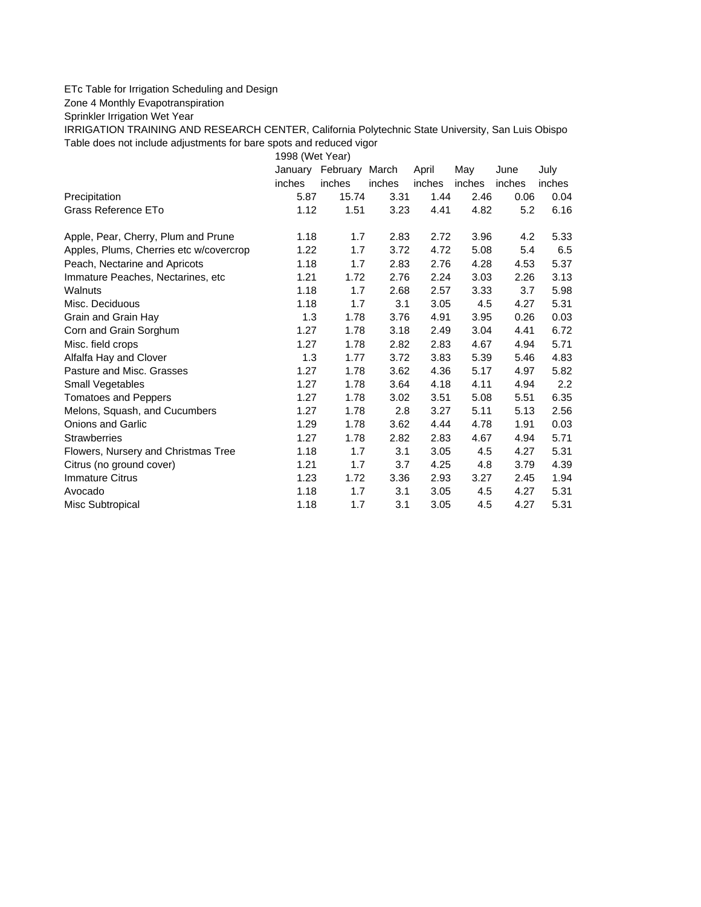## ETc Table for Irrigation Scheduling and Design

Zone 4 Monthly Evapotranspiration

Sprinkler Irrigation Wet Year

IRRIGATION TRAINING AND RESEARCH CENTER, California Polytechnic State University, San Luis Obispo Table does not include adjustments for bare spots and reduced vigor

1998 (Wet Year)

|                                         |        | January February March |        | April  | May    | June   | July             |
|-----------------------------------------|--------|------------------------|--------|--------|--------|--------|------------------|
|                                         | inches | inches                 | inches | inches | inches | inches | inches           |
| Precipitation                           | 5.87   | 15.74                  | 3.31   | 1.44   | 2.46   | 0.06   | 0.04             |
| Grass Reference ETo                     | 1.12   | 1.51                   | 3.23   | 4.41   | 4.82   | 5.2    | 6.16             |
| Apple, Pear, Cherry, Plum and Prune     | 1.18   | 1.7                    | 2.83   | 2.72   | 3.96   | 4.2    | 5.33             |
| Apples, Plums, Cherries etc w/covercrop | 1.22   | 1.7                    | 3.72   | 4.72   | 5.08   | 5.4    | 6.5              |
| Peach, Nectarine and Apricots           | 1.18   | 1.7                    | 2.83   | 2.76   | 4.28   | 4.53   | 5.37             |
| Immature Peaches, Nectarines, etc.      | 1.21   | 1.72                   | 2.76   | 2.24   | 3.03   | 2.26   | 3.13             |
| Walnuts                                 | 1.18   | 1.7                    | 2.68   | 2.57   | 3.33   | 3.7    | 5.98             |
| Misc. Deciduous                         | 1.18   | 1.7                    | 3.1    | 3.05   | 4.5    | 4.27   | 5.31             |
| Grain and Grain Hay                     | 1.3    | 1.78                   | 3.76   | 4.91   | 3.95   | 0.26   | 0.03             |
| Corn and Grain Sorghum                  | 1.27   | 1.78                   | 3.18   | 2.49   | 3.04   | 4.41   | 6.72             |
| Misc. field crops                       | 1.27   | 1.78                   | 2.82   | 2.83   | 4.67   | 4.94   | 5.71             |
| Alfalfa Hay and Clover                  | 1.3    | 1.77                   | 3.72   | 3.83   | 5.39   | 5.46   | 4.83             |
| Pasture and Misc. Grasses               | 1.27   | 1.78                   | 3.62   | 4.36   | 5.17   | 4.97   | 5.82             |
| Small Vegetables                        | 1.27   | 1.78                   | 3.64   | 4.18   | 4.11   | 4.94   | $2.2\phantom{0}$ |
| <b>Tomatoes and Peppers</b>             | 1.27   | 1.78                   | 3.02   | 3.51   | 5.08   | 5.51   | 6.35             |
| Melons, Squash, and Cucumbers           | 1.27   | 1.78                   | 2.8    | 3.27   | 5.11   | 5.13   | 2.56             |
| <b>Onions and Garlic</b>                | 1.29   | 1.78                   | 3.62   | 4.44   | 4.78   | 1.91   | 0.03             |
| <b>Strawberries</b>                     | 1.27   | 1.78                   | 2.82   | 2.83   | 4.67   | 4.94   | 5.71             |
| Flowers, Nursery and Christmas Tree     | 1.18   | 1.7                    | 3.1    | 3.05   | 4.5    | 4.27   | 5.31             |
| Citrus (no ground cover)                | 1.21   | 1.7                    | 3.7    | 4.25   | 4.8    | 3.79   | 4.39             |
| <b>Immature Citrus</b>                  | 1.23   | 1.72                   | 3.36   | 2.93   | 3.27   | 2.45   | 1.94             |
| Avocado                                 | 1.18   | 1.7                    | 3.1    | 3.05   | 4.5    | 4.27   | 5.31             |
| Misc Subtropical                        | 1.18   | 1.7                    | 3.1    | 3.05   | 4.5    | 4.27   | 5.31             |